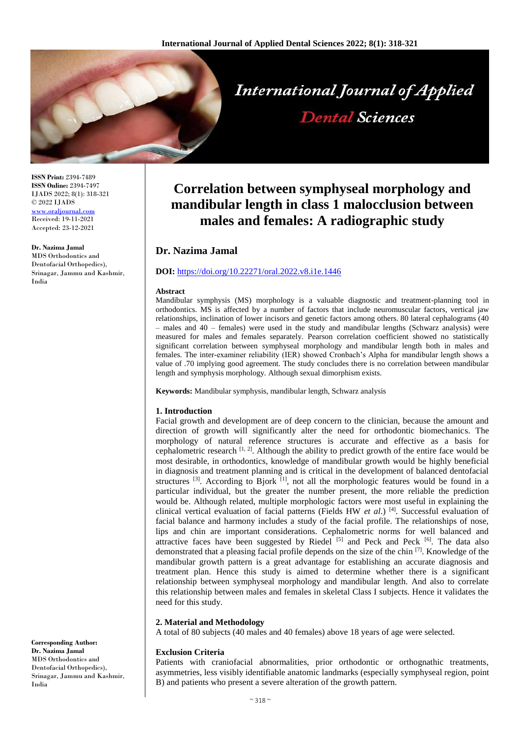

**ISSN Print:** 2394-7489 **ISSN Online:** 2394-7497 IJADS 2022; 8(1): 318-321 © 2022 IJADS [www.oraljournal.com](http://www.oraljournal.com/) Received: 19-11-2021 Accepted: 23-12-2021

#### **Dr. Nazima Jamal**

MDS Orthodontics and Dentofacial Orthopedics), Srinagar, Jammu and Kashmir, India

**Correlation between symphyseal morphology and mandibular length in class 1 malocclusion between males and females: A radiographic study**

# **Dr. Nazima Jamal**

#### **DOI:** <https://doi.org/10.22271/oral.2022.v8.i1e.1446>

#### **Abstract**

Mandibular symphysis (MS) morphology is a valuable diagnostic and treatment-planning tool in orthodontics. MS is affected by a number of factors that include neuromuscular factors, vertical jaw relationships, inclination of lower incisors and genetic factors among others. 80 lateral cephalograms (40 – males and 40 – females) were used in the study and mandibular lengths (Schwarz analysis) were measured for males and females separately. Pearson correlation coefficient showed no statistically significant correlation between symphyseal morphology and mandibular length both in males and females. The inter-examiner reliability (IER) showed Cronbach's Alpha for mandibular length shows a value of .70 implying good agreement. The study concludes there is no correlation between mandibular length and symphysis morphology. Although sexual dimorphism exists.

**Keywords:** Mandibular symphysis, mandibular length, Schwarz analysis

### **1. Introduction**

Facial growth and development are of deep concern to the clinician, because the amount and direction of growth will significantly alter the need for orthodontic biomechanics. The morphology of natural reference structures is accurate and effective as a basis for cephalometric research  $[1, 2]$ . Although the ability to predict growth of the entire face would be most desirable, in orthodontics, knowledge of mandibular growth would be highly beneficial in diagnosis and treatment planning and is critical in the development of balanced dentofacial structures  $^{[3]}$ . According to Bjork  $^{[1]}$ , not all the morphologic features would be found in a particular individual, but the greater the number present, the more reliable the prediction would be. Although related, multiple morphologic factors were most useful in explaining the clinical vertical evaluation of facial patterns (Fields HW *et al*.) [4] . Successful evaluation of facial balance and harmony includes a study of the facial profile. The relationships of nose, lips and chin are important considerations. Cephalometric norms for well balanced and attractive faces have been suggested by Riedel<sup>[5]</sup> and Peck and Peck<sup>[6]</sup>. The data also demonstrated that a pleasing facial profile depends on the size of the chin [7] . Knowledge of the mandibular growth pattern is a great advantage for establishing an accurate diagnosis and treatment plan. Hence this study is aimed to determine whether there is a significant relationship between symphyseal morphology and mandibular length. And also to correlate this relationship between males and females in skeletal Class I subjects. Hence it validates the need for this study.

#### **2. Material and Methodology**

A total of 80 subjects (40 males and 40 females) above 18 years of age were selected.

#### **Exclusion Criteria**

Patients with craniofacial abnormalities, prior orthodontic or orthognathic treatments, asymmetries, less visibly identifiable anatomic landmarks (especially symphyseal region, point B) and patients who present a severe alteration of the growth pattern.

**Corresponding Author: Dr. Nazima Jamal**  MDS Orthodontics and Dentofacial Orthopedics), Srinagar, Jammu and Kashmir, India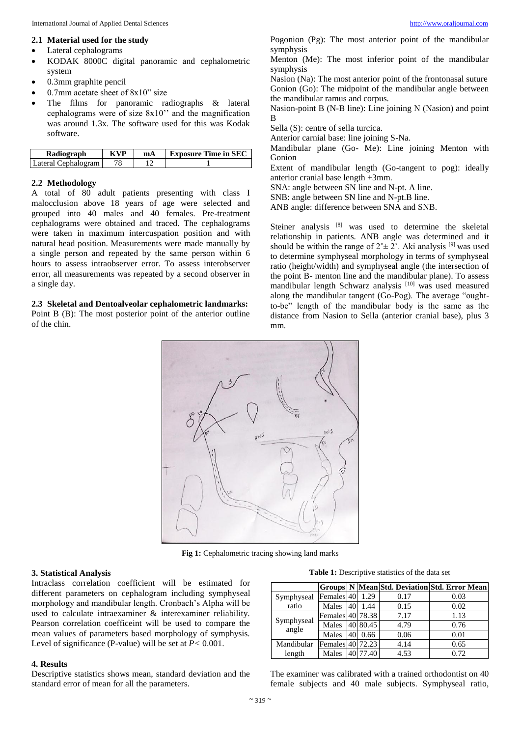#### **2.1 Material used for the study**

- Lateral cephalograms
- KODAK 8000C digital panoramic and cephalometric system
- 0.3mm graphite pencil
- 0.7mm acetate sheet of 8x10" size
- The films for panoramic radiographs & lateral cephalograms were of size 8x10'' and the magnification was around 1.3x. The software used for this was Kodak software.

| Radiograph          | <b>KVP</b> | mA | <b>Exposure Time in SEC</b> |
|---------------------|------------|----|-----------------------------|
| Lateral Cephalogram |            |    |                             |

### **2.2 Methodology**

A total of 80 adult patients presenting with class I malocclusion above 18 years of age were selected and grouped into 40 males and 40 females. Pre-treatment cephalograms were obtained and traced. The cephalograms were taken in maximum intercuspation position and with natural head position. Measurements were made manually by a single person and repeated by the same person within 6 hours to assess intraobserver error. To assess interobserver error, all measurements was repeated by a second observer in a single day.

**2.3 Skeletal and Dentoalveolar cephalometric landmarks:** Point B (B): The most posterior point of the anterior outline of the chin.

Pogonion (Pg): The most anterior point of the mandibular symphysis

Menton (Me): The most inferior point of the mandibular symphysis

Nasion (Na): The most anterior point of the frontonasal suture Gonion (Go): The midpoint of the mandibular angle between the mandibular ramus and corpus.

Nasion-point B (N-B line): Line joining N (Nasion) and point B

Sella (S): centre of sella turcica.

Anterior carnial base: line joining S-Na.

Mandibular plane (Go- Me): Line joining Menton with Gonion

Extent of mandibular length (Go-tangent to pog): ideally anterior cranial base length +3mm.

SNA: angle between SN line and N-pt. A line.

SNB: angle between SN line and N-pt.B line.

ANB angle: difference between SNA and SNB.

Steiner analysis [8] was used to determine the skeletal relationship in patients. ANB angle was determined and it should be within the range of  $2^{\circ} \pm 2^{\circ}$ . Aki analysis <sup>[9]</sup> was used to determine symphyseal morphology in terms of symphyseal ratio (height/width) and symphyseal angle (the intersection of the point B- menton line and the mandibular plane). To assess mandibular length Schwarz analysis [10] was used measured along the mandibular tangent (Go-Pog). The average "oughtto-be" length of the mandibular body is the same as the distance from Nasion to Sella (anterior cranial base), plus 3 mm.



**Fig 1:** Cephalometric tracing showing land marks

## **3. Statistical Analysis**

Intraclass correlation coefficient will be estimated for different parameters on cephalogram including symphyseal morphology and mandibular length. Cronbach's Alpha will be used to calculate intraexaminer & interexaminer reliability. Pearson correlation coefficeint will be used to compare the mean values of parameters based morphology of symphysis. Level of significance (P-value) will be set at *P<* 0.001.

### **4. Results**

Descriptive statistics shows mean, standard deviation and the standard error of mean for all the parameters.

**Table 1:** Descriptive statistics of the data set

|                     |                  |    |          |      | Groups N Mean Std. Deviation Std. Error Mean |
|---------------------|------------------|----|----------|------|----------------------------------------------|
| Symphyseal          | Females 40       |    | 1.29     | 0.17 | 0.03                                         |
| ratio               | Males            | 40 | 1.44     | 0.15 | 0.02                                         |
| Symphyseal<br>angle | Females 40 78.38 |    |          | 7.17 | 1.13                                         |
|                     | Males            |    | 40 80.45 | 4.79 | 0.76                                         |
|                     | Males            |    | 40 0.66  | 0.06 | 0.01                                         |
| Mandibular          | Females 40 72.23 |    |          | 4.14 | 0.65                                         |
| length              | Males            |    | 40 77.40 | 4.53 | 0.72                                         |

The examiner was calibrated with a trained orthodontist on 40 female subjects and 40 male subjects. Symphyseal ratio,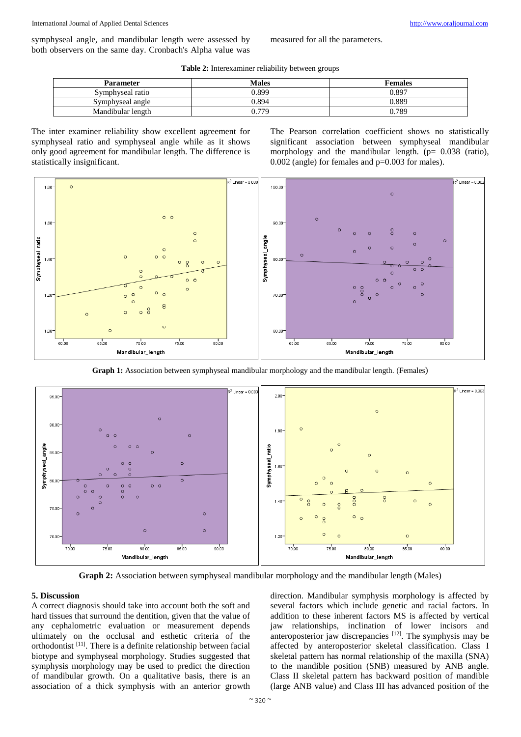symphyseal angle, and mandibular length were assessed by both observers on the same day. Cronbach's Alpha value was measured for all the parameters.

**Table 2:** Interexaminer reliability between groups

| Parameter         | Males | <b>Females</b> |
|-------------------|-------|----------------|
| Symphyseal ratio  | 0.899 | 0.897          |
| Symphyseal angle  | 0.894 | 0.889          |
| Mandibular length | 0.779 | 0.789          |

The inter examiner reliability show excellent agreement for symphyseal ratio and symphyseal angle while as it shows only good agreement for mandibular length. The difference is statistically insignificant.

The Pearson correlation coefficient shows no statistically significant association between symphyseal mandibular morphology and the mandibular length.  $(p= 0.038$  (ratio),  $0.002$  (angle) for females and  $p=0.003$  for males).



**Graph 1:** Association between symphyseal mandibular morphology and the mandibular length. (Females)



**Graph 2:** Association between symphyseal mandibular morphology and the mandibular length (Males)

# **5. Discussion**

A correct diagnosis should take into account both the soft and hard tissues that surround the dentition, given that the value of any cephalometric evaluation or measurement depends ultimately on the occlusal and esthetic criteria of the orthodontist<sup>[11]</sup>. There is a definite relationship between facial biotype and symphyseal morphology. Studies suggested that symphysis morphology may be used to predict the direction of mandibular growth. On a qualitative basis, there is an association of a thick symphysis with an anterior growth

direction. Mandibular symphysis morphology is affected by several factors which include genetic and racial factors. In addition to these inherent factors MS is affected by vertical jaw relationships, inclination of lower incisors and anteroposterior jaw discrepancies  $[12]$ . The symphysis may be affected by anteroposterior skeletal classification. Class I skeletal pattern has normal relationship of the maxilla (SNA) to the mandible position (SNB) measured by ANB angle. Class II skeletal pattern has backward position of mandible (large ANB value) and Class III has advanced position of the